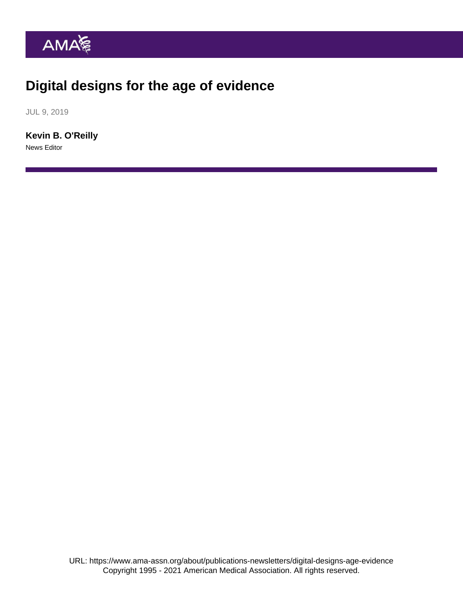# Digital designs for the age of evidence

JUL 9, 2019

[Kevin B. O'Reilly](https://www.ama-assn.org/news-leadership-viewpoints/authors-news-leadership-viewpoints/kevin-b-oreilly) News Editor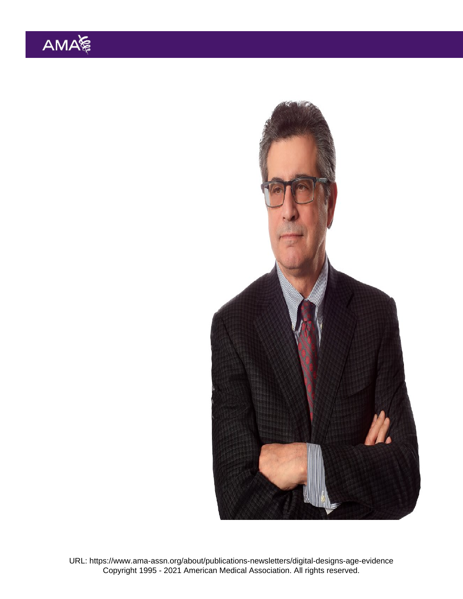URL:<https://www.ama-assn.org/about/publications-newsletters/digital-designs-age-evidence> Copyright 1995 - 2021 American Medical Association. All rights reserved.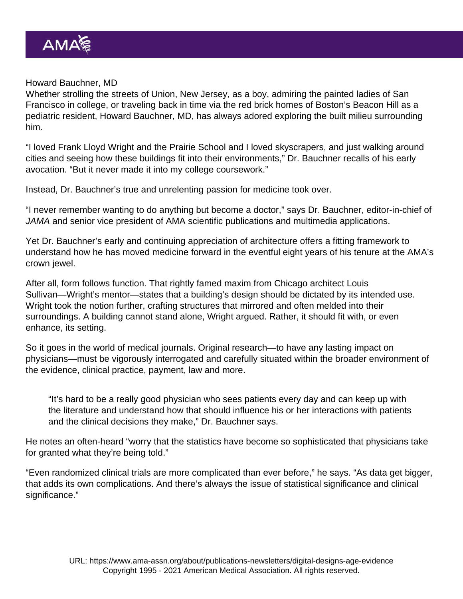Howard Bauchner, MD

Whether strolling the streets of Union, New Jersey, as a boy, admiring the painted ladies of San Francisco in college, or traveling back in time via the red brick homes of Boston's Beacon Hill as a pediatric resident, Howard Bauchner, MD, has always adored exploring the built milieu surrounding him.

"I loved Frank Lloyd Wright and the Prairie School and I loved skyscrapers, and just walking around cities and seeing how these buildings fit into their environments," Dr. Bauchner recalls of his early avocation. "But it never made it into my college coursework."

Instead, Dr. Bauchner's true and unrelenting passion for medicine took over.

"I never remember wanting to do anything but become a doctor," says Dr. Bauchner, editor-in-chief of JAMA and senior vice president of AMA scientific publications and multimedia applications.

Yet Dr. Bauchner's early and continuing appreciation of architecture offers a fitting framework to understand how he has moved medicine forward in the eventful eight years of his tenure at the AMA's crown jewel.

After all, form follows function. That rightly famed maxim from Chicago architect Louis Sullivan—Wright's mentor—states that a building's design should be dictated by its intended use. Wright took the notion further, crafting structures that mirrored and often melded into their surroundings. A building cannot stand alone, Wright argued. Rather, it should fit with, or even enhance, its setting.

So it goes in the world of medical journals. Original research—to have any lasting impact on physicians—must be vigorously interrogated and carefully situated within the broader environment of the evidence, clinical practice, payment, law and more.

"It's hard to be a really good physician who sees patients every day and can keep up with the literature and understand how that should influence his or her interactions with patients and the clinical decisions they make," Dr. Bauchner says.

He notes an often-heard "worry that the statistics have become so sophisticated that physicians take for granted what they're being told."

"Even randomized clinical trials are more complicated than ever before," he says. "As data get bigger, that adds its own complications. And there's always the issue of statistical significance and clinical significance."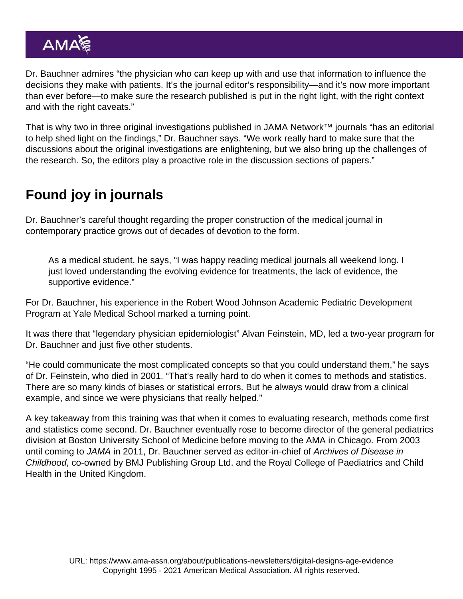Dr. Bauchner admires "the physician who can keep up with and use that information to influence the decisions they make with patients. It's the journal editor's responsibility—and it's now more important than ever before—to make sure the research published is put in the right light, with the right context and with the right caveats."

That is why two in three original investigations published in JAMA Network™ journals "has an editorial to help shed light on the findings," Dr. Bauchner says. "We work really hard to make sure that the discussions about the original investigations are enlightening, but we also bring up the challenges of the research. So, the editors play a proactive role in the discussion sections of papers."

### Found joy in journals

Dr. Bauchner's careful thought regarding the proper construction of the medical journal in contemporary practice grows out of decades of devotion to the form.

As a medical student, he says, "I was happy reading medical journals all weekend long. I just loved understanding the evolving evidence for treatments, the lack of evidence, the supportive evidence."

For Dr. Bauchner, his experience in the Robert Wood Johnson Academic Pediatric Development Program at Yale Medical School marked a turning point.

It was there that "legendary physician epidemiologist" Alvan Feinstein, MD, led a two-year program for Dr. Bauchner and just five other students.

"He could communicate the most complicated concepts so that you could understand them," he says of Dr. Feinstein, who died in 2001. "That's really hard to do when it comes to methods and statistics. There are so many kinds of biases or statistical errors. But he always would draw from a clinical example, and since we were physicians that really helped."

A key takeaway from this training was that when it comes to evaluating research, methods come first and statistics come second. Dr. Bauchner eventually rose to become director of the general pediatrics division at Boston University School of Medicine before moving to the AMA in Chicago. From 2003 until coming to JAMA in 2011, Dr. Bauchner served as editor-in-chief of Archives of Disease in Childhood, co-owned by BMJ Publishing Group Ltd. and the Royal College of Paediatrics and Child Health in the United Kingdom.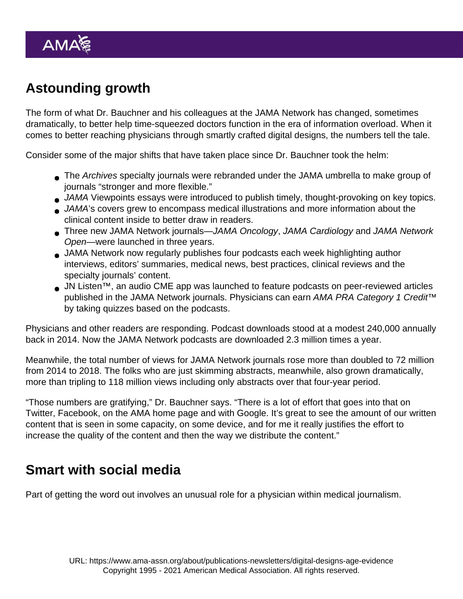## Astounding growth

The form of what Dr. Bauchner and his colleagues at the JAMA Network has changed, sometimes dramatically, to better help time-squeezed doctors function in the era of information overload. When it comes to better reaching physicians through smartly crafted digital designs, the numbers tell the tale.

Consider some of the major shifts that have taken place since Dr. Bauchner took the helm:

- The Archives specialty journals [were rebranded under the JAMA umbrella](https://jamanetwork.com/journals/jamafacialplasticsurgery/fullarticle/1206651?resultClick=1) to make group of journals "stronger and more flexible."
- JAMA [Viewpoints essays](https://jamanetwork.com/journals/jama/fullarticle/1103976?resultClick=1) were introduced to publish timely, thought-provoking on key topics.
- JAMA's [covers](https://jamanetwork.com/journals/jama/fullarticle/1692483) grew to encompass medical illustrations and more information about the clinical content inside to better draw in readers.
- Three new JAMA Network journals—JAMA Oncology, JAMA Cardiology and JAMA Network Open—were launched in three years.
- JAMA Network now regularly publishes four [podcasts](https://sites.jamanetwork.com/audio/) each week highlighting author interviews, editors' summaries, medical news, best practices, clinical reviews and the specialty journals' content.
- [JN Listen](https://jamanetwork.com/pages/listen)™, an audio CME app was launched to feature podcasts on peer-reviewed articles published in the JAMA Network journals. Physicians can earn AMA PRA Category 1 Credit<sup>™</sup> by taking quizzes based on the podcasts.

Physicians and other readers are responding. Podcast downloads stood at a modest 240,000 annually back in 2014. Now the JAMA Network podcasts are downloaded 2.3 million times a year.

Meanwhile, the total number of views for JAMA Network journals rose more than doubled to 72 million from 2014 to 2018. The folks who are just skimming abstracts, meanwhile, also grown dramatically, more than tripling to 118 million views including only abstracts over that four-year period.

"Those numbers are gratifying," Dr. Bauchner says. "There is a lot of effort that goes into that on Twitter, Facebook, on the AMA home page and with Google. It's great to see the amount of our written content that is seen in some capacity, on some device, and for me it really justifies the effort to increase the quality of the content and then the way we distribute the content."

### Smart with social media

Part of getting the word out involves an unusual role for a physician within medical journalism.